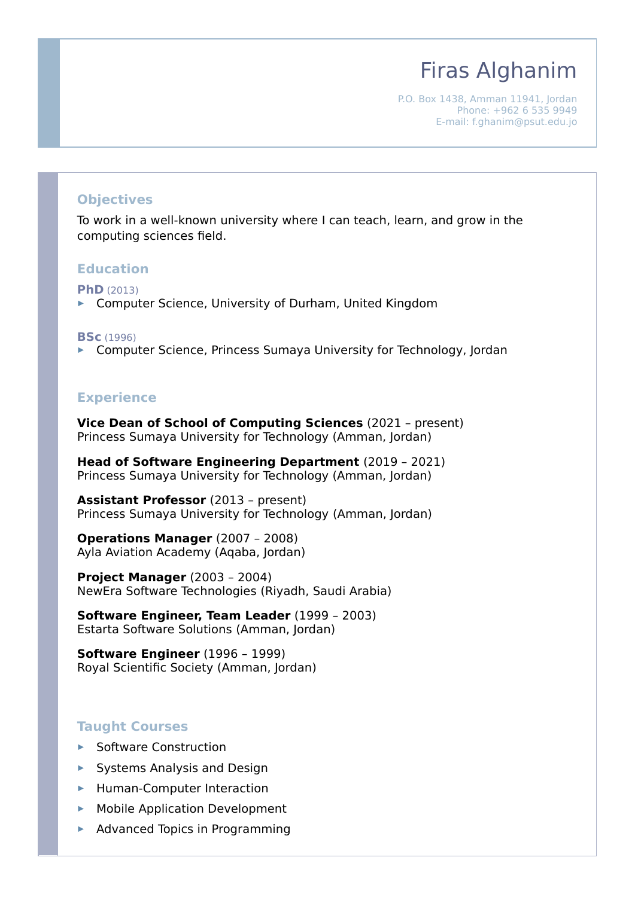# Firas Alghanim

P.O. Box 1438, Amman 11941, Jordan Phone: +962 6 535 9949 E-mail: f.ghanim@psut.edu.jo

## **Objectives**

To work in a well-known university where I can teach, learn, and grow in the computing sciences field.

#### **Education**

**PhD** (2013)

▶ Computer Science, University of Durham, United Kingdom

#### **BSc** (1996)

▶ Computer Science, Princess Sumaya University for Technology, Jordan

#### **Experience**

**Vice Dean of School of Computing Sciences** (2021 – present) Princess Sumaya University for Technology (Amman, Jordan)

**Head of Software Engineering Department** (2019 – 2021) Princess Sumaya University for Technology (Amman, Jordan)

**Assistant Professor** (2013 – present) Princess Sumaya University for Technology (Amman, Jordan)

**Operations Manager** (2007 – 2008) Ayla Aviation Academy (Aqaba, Jordan)

**Project Manager** (2003 – 2004) NewEra Software Technologies (Riyadh, Saudi Arabia)

**Software Engineer, Team Leader** (1999 – 2003) Estarta Software Solutions (Amman, Jordan)

**Software Engineer** (1996 – 1999) Royal Scientific Society (Amman, Jordan)

### **Taught Courses**

- ▶ Software Construction
- $\triangleright$  Systems Analysis and Design
- ▶ Human-Computer Interaction
- **Mobile Application Development**
- $\blacktriangleright$  Advanced Topics in Programming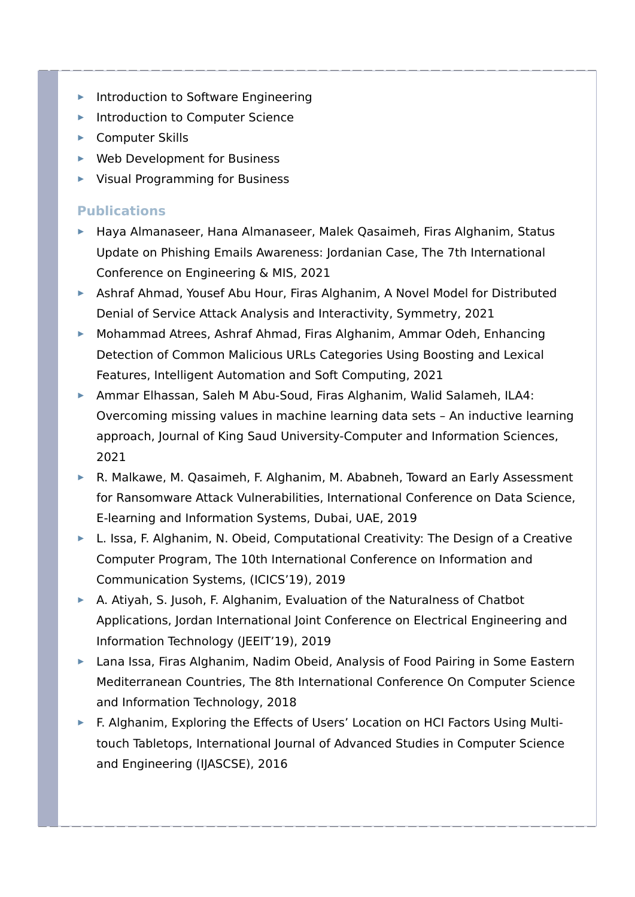- Introduction to Software Engineering
- **Introduction to Computer Science**
- ▶ Computer Skills
- ▶ Web Development for Business
- ▶ Visual Programming for Business

## **Publications**

- ► Haya Almanaseer, Hana Almanaseer, Malek Qasaimeh, Firas Alghanim, Status Update on Phishing Emails Awareness: Jordanian Case, The 7th International Conference on Engineering & MIS, 2021
- Ashraf Ahmad, Yousef Abu Hour, Firas Alghanim, A Novel Model for Distributed Denial of Service Attack Analysis and Interactivity, Symmetry, 2021
- ► Mohammad Atrees, Ashraf Ahmad, Firas Alghanim, Ammar Odeh, Enhancing Detection of Common Malicious URLs Categories Using Boosting and Lexical Features, Intelligent Automation and Soft Computing, 2021
- Ammar Elhassan, Saleh M Abu-Soud, Firas Alghanim, Walid Salameh, ILA4: Overcoming missing values in machine learning data sets – An inductive learning approach, Journal of King Saud University-Computer and Information Sciences, 2021
- ▶ R. Malkawe, M. Qasaimeh, F. Alghanim, M. Ababneh, Toward an Early Assessment for Ransomware Attack Vulnerabilities, International Conference on Data Science, E-learning and Information Systems, Dubai, UAE, 2019
- ► L. Issa, F. Alghanim, N. Obeid, Computational Creativity: The Design of a Creative Computer Program, The 10th International Conference on Information and Communication Systems, (ICICS'19), 2019
- A. Atiyah, S. Jusoh, F. Alghanim, Evaluation of the Naturalness of Chatbot Applications, Jordan International Joint Conference on Electrical Engineering and Information Technology (JEEIT'19), 2019
- ▶ Lana Issa, Firas Alghanim, Nadim Obeid, Analysis of Food Pairing in Some Eastern Mediterranean Countries, The 8th International Conference On Computer Science and Information Technology, 2018
- ► F. Alghanim, Exploring the Effects of Users' Location on HCI Factors Using Multitouch Tabletops, International Journal of Advanced Studies in Computer Science and Engineering (IJASCSE), 2016